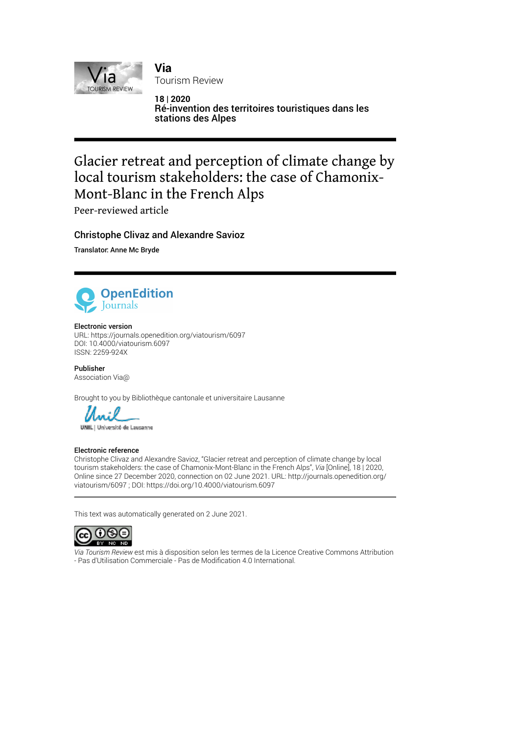

**Via**  Tourism Review

**18 | 2020** Ré-invention des territoires touristiques dans les stations des Alpes

# Glacier retreat and perception of climate change by local tourism stakeholders: the case of Chamonix-Mont-Blanc in the French Alps

Peer-reviewed article

Christophe Clivaz and Alexandre Savioz

Translator: Anne Mc Bryde



#### Electronic version

URL:<https://journals.openedition.org/viatourism/6097> DOI: 10.4000/viatourism.6097 ISSN: 2259-924X

Publisher Association Via@

Brought to you by Bibliothèque cantonale et universitaire Lausanne



UNIL | Université de Lausanne

#### Electronic reference

Christophe Clivaz and Alexandre Savioz, "Glacier retreat and perception of climate change by local tourism stakeholders: the case of Chamonix-Mont-Blanc in the French Alps", *Via* [Online], 18 | 2020, Online since 27 December 2020, connection on 02 June 2021. URL: http://journals.openedition.org/ viatourism/6097 ; DOI: https://doi.org/10.4000/viatourism.6097

This text was automatically generated on 2 June 2021.



*Via Tourism Review* est mis à disposition selon les termes de la [Licence Creative Commons Attribution](http://creativecommons.org/licenses/by-nc-nd/4.0/) [- Pas d'Utilisation Commerciale - Pas de Modi](http://creativecommons.org/licenses/by-nc-nd/4.0/)fication 4.0 International.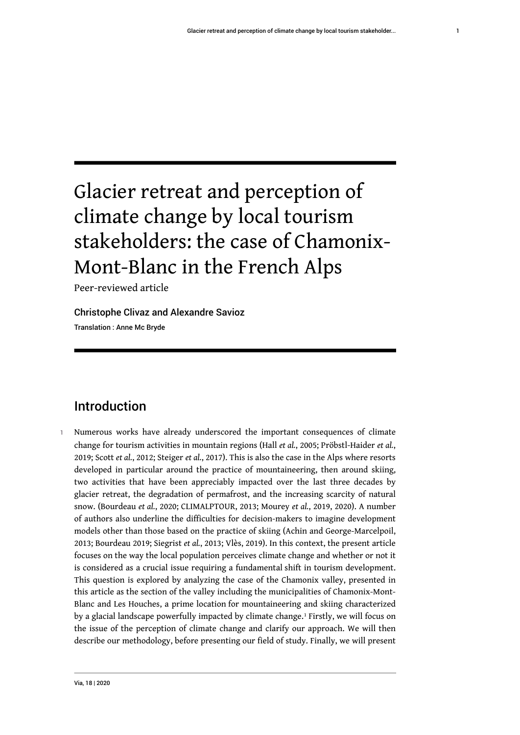# Glacier retreat and perception of climate change by local tourism stakeholders: the case of Chamonix-Mont-Blanc in the French Alps

Peer-reviewed article

Christophe Clivaz and Alexandre Savioz Translation : Anne Mc Bryde

# Introduction

<span id="page-1-0"></span>1 Numerous works have already underscored the important consequences of climate change for tourism activities in mountain regions (Hall *et al.*, 2005; Pröbstl-Haider *et al.*, 2019; Scott *et al.*, 2012; Steiger *et al.*, 2017). This is also the case in the Alps where resorts developed in particular around the practice of mountaineering, then around skiing, two activities that have been appreciably impacted over the last three decades by glacier retreat, the degradation of permafrost, and the increasing scarcity of natural snow. (Bourdeau *et al.*, 2020; CLIMALPTOUR, 2013; Mourey *et al.*, 2019, 2020). A number of authors also underline the difficulties for decision-makers to imagine development models other than those based on the practice of skiing (Achin and George-Marcelpoil, 2013; Bourdeau 2019; Siegrist *et al.*, 2013; Vlès, 2019). In this context, the present article focuses on the way the local population perceives climate change and whether or not it is considered as a crucial issue requiring a fundamental shift in tourism development. This question is explored by analyzing the case of the Chamonix valley, presented in this article as the section of the valley including the municipalities of Chamonix-Mont-Blanc and Les Houches, a prime location for mountaineering and skiing characterized by a glacial landscape powerfully impacted by climate change.<sup>[1](#page-20-0)</sup> Firstly, we will focus on the issue of the perception of climate change and clarify our approach. We will then describe our methodology, before presenting our field of study. Finally, we will present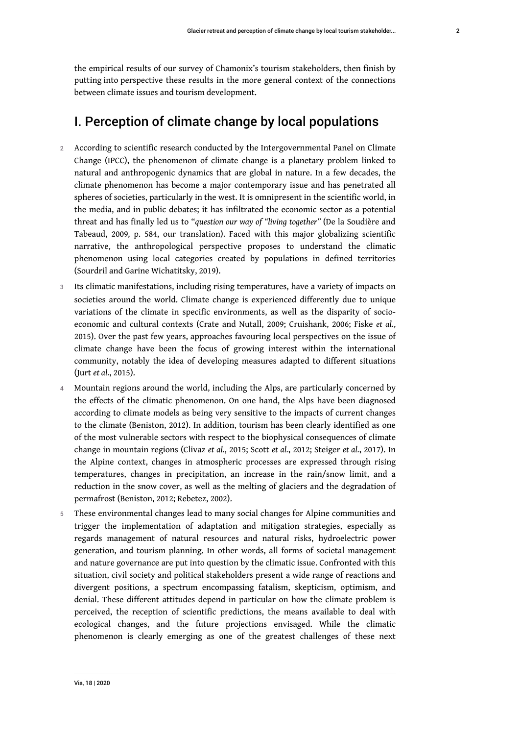the empirical results of our survey of Chamonix's tourism stakeholders, then finish by putting into perspective these results in the more general context of the connections between climate issues and tourism development.

### I. Perception of climate change by local populations

- 2 According to scientific research conducted by the Intergovernmental Panel on Climate Change (IPCC), the phenomenon of climate change is a planetary problem linked to natural and anthropogenic dynamics that are global in nature. In a few decades, the climate phenomenon has become a major contemporary issue and has penetrated all spheres of societies, particularly in the west. It is omnipresent in the scientific world, in the media, and in public debates; it has infiltrated the economic sector as a potential threat and has finally led us to "*question our way of "living together"* (De la Soudière and Tabeaud, 2009*,* p. 584, our translation). Faced with this major globalizing scientific narrative, the anthropological perspective proposes to understand the climatic phenomenon using local categories created by populations in defined territories (Sourdril and Garine Wichatitsky, 2019).
- 3 Its climatic manifestations, including rising temperatures, have a variety of impacts on societies around the world. Climate change is experienced differently due to unique variations of the climate in specific environments, as well as the disparity of socioeconomic and cultural contexts (Crate and Nutall, 2009; Cruishank, 2006; Fiske *et al.*, 2015). Over the past few years, approaches favouring local perspectives on the issue of climate change have been the focus of growing interest within the international community, notably the idea of developing measures adapted to different situations (Jurt *et al.*, 2015).
- 4 Mountain regions around the world, including the Alps, are particularly concerned by the effects of the climatic phenomenon. On one hand, the Alps have been diagnosed according to climate models as being very sensitive to the impacts of current changes to the climate (Beniston, 2012). In addition, tourism has been clearly identified as one of the most vulnerable sectors with respect to the biophysical consequences of climate change in mountain regions (Clivaz *et al.*, 2015; Scott *et al.*, 2012; Steiger *et al.*, 2017). In the Alpine context, changes in atmospheric processes are expressed through rising temperatures, changes in precipitation, an increase in the rain/snow limit, and a reduction in the snow cover, as well as the melting of glaciers and the degradation of permafrost (Beniston, 2012; Rebetez, 2002).
- 5 These environmental changes lead to many social changes for Alpine communities and trigger the implementation of adaptation and mitigation strategies, especially as regards management of natural resources and natural risks, hydroelectric power generation, and tourism planning. In other words, all forms of societal management and nature governance are put into question by the climatic issue. Confronted with this situation, civil society and political stakeholders present a wide range of reactions and divergent positions, a spectrum encompassing fatalism, skepticism, optimism, and denial. These different attitudes depend in particular on how the climate problem is perceived, the reception of scientific predictions, the means available to deal with ecological changes, and the future projections envisaged. While the climatic phenomenon is clearly emerging as one of the greatest challenges of these next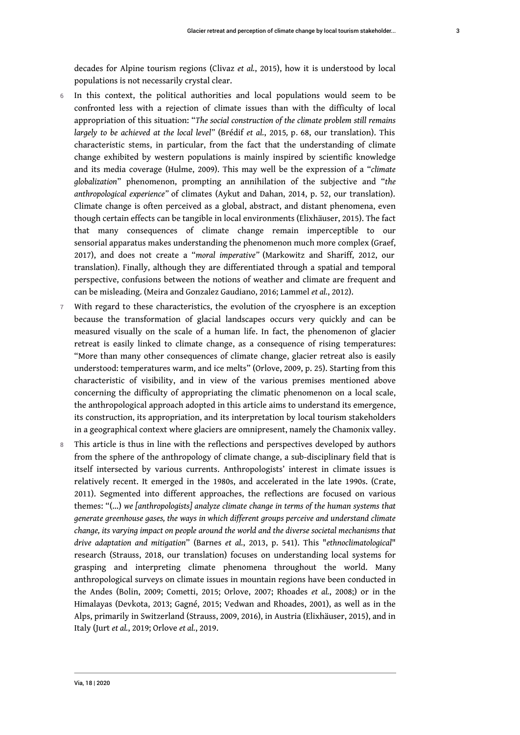decades for Alpine tourism regions (Clivaz *et al.*, 2015), how it is understood by local populations is not necessarily crystal clear.

- 6 In this context, the political authorities and local populations would seem to be confronted less with a rejection of climate issues than with the difficulty of local appropriation of this situation: "*The social construction of the climate problem still remains largely to be achieved at the local level"* (Brédif *et al.*, 2015*,* p*.* 68, our translation). This characteristic stems, in particular, from the fact that the understanding of climate change exhibited by western populations is mainly inspired by scientific knowledge and its media coverage (Hulme, 2009). This may well be the expression of a "*climate globalization*" phenomenon, prompting an annihilation of the subjective and "*the anthropological experience"* of climates (Aykut and Dahan, 2014, p. 52, our translation). Climate change is often perceived as a global, abstract, and distant phenomena, even though certain effects can be tangible in local environments (Elixhäuser, 2015). The fact that many consequences of climate change remain imperceptible to our sensorial apparatus makes understanding the phenomenon much more complex (Graef, 2017), and does not create a "*moral imperative"* (Markowitz and Shariff, 2012, our translation). Finally, although they are differentiated through a spatial and temporal perspective, confusions between the notions of weather and climate are frequent and can be misleading. (Meira and Gonzalez Gaudiano, 2016; Lammel *et al.*, 2012).
- 7 With regard to these characteristics, the evolution of the cryosphere is an exception because the transformation of glacial landscapes occurs very quickly and can be measured visually on the scale of a human life. In fact, the phenomenon of glacier retreat is easily linked to climate change, as a consequence of rising temperatures: "More than many other consequences of climate change, glacier retreat also is easily understood: temperatures warm, and ice melts" (Orlove, 2009, p. 25). Starting from this characteristic of visibility, and in view of the various premises mentioned above concerning the difficulty of appropriating the climatic phenomenon on a local scale, the anthropological approach adopted in this article aims to understand its emergence, its construction, its appropriation, and its interpretation by local tourism stakeholders in a geographical context where glaciers are omnipresent, namely the Chamonix valley.
- 8 This article is thus in line with the reflections and perspectives developed by authors from the sphere of the anthropology of climate change, a sub-disciplinary field that is itself intersected by various currents. Anthropologists' interest in climate issues is relatively recent. It emerged in the 1980s, and accelerated in the late 1990s. (Crate, 2011). Segmented into different approaches, the reflections are focused on various themes: "(…) *we [anthropologists] analyze climate change in terms of the human systems that generate greenhouse gases, the ways in which different groups perceive and understand climate change, its varying impact on people around the world and the diverse societal mechanisms that drive adaptation and mitigation*" (Barnes *et al.*, 2013, p. 541). This "*ethnoclimatological*" research (Strauss, 2018, our translation) focuses on understanding local systems for grasping and interpreting climate phenomena throughout the world. Many anthropological surveys on climate issues in mountain regions have been conducted in the Andes (Bolin, 2009; Cometti, 2015; Orlove, 2007; Rhoades *et al.*, 2008;) or in the Himalayas (Devkota, 2013; Gagné, 2015; Vedwan and Rhoades, 2001), as well as in the Alps, primarily in Switzerland (Strauss, 2009, 2016), in Austria (Elixhäuser, 2015), and in Italy (Jurt *et al.*, 2019; Orlove *et al.*, 2019.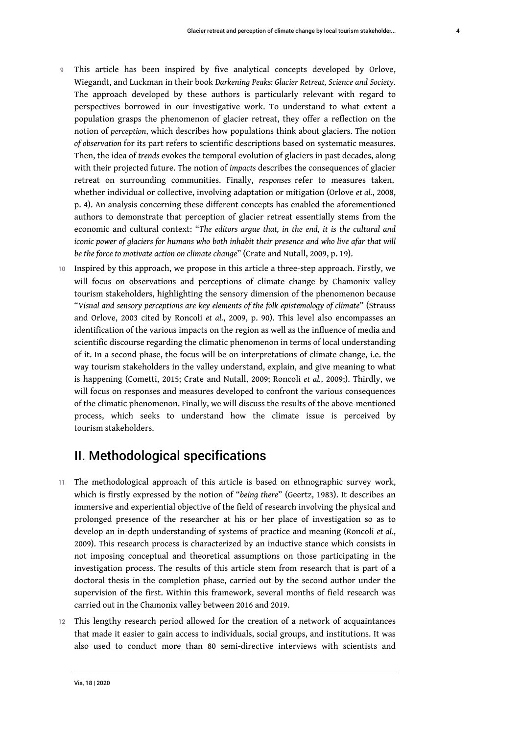- 9 This article has been inspired by five analytical concepts developed by Orlove, Wiegandt, and Luckman in their book *Darkening Peaks: Glacier Retreat, Science and Society*. The approach developed by these authors is particularly relevant with regard to perspectives borrowed in our investigative work. To understand to what extent a population grasps the phenomenon of glacier retreat, they offer a reflection on the notion of *perception*, which describes how populations think about glaciers. The notion *of observation* for its part refers to scientific descriptions based on systematic measures. Then, the idea of *trends* evokes the temporal evolution of glaciers in past decades, along with their projected future. The notion of *impacts* describes the consequences of glacier retreat on surrounding communities. Finally, *responses* refer to measures taken, whether individual or collective, involving adaptation or mitigation (Orlove *et al.*, 2008, p. 4). An analysis concerning these different concepts has enabled the aforementioned authors to demonstrate that perception of glacier retreat essentially stems from the economic and cultural context: "*The editors argue that, in the end, it is the cultural and iconic power of glaciers for humans who both inhabit their presence and who live afar that will be the force to motivate action on climate change*" (Crate and Nutall, 2009, p. 19).
- 10 Inspired by this approach, we propose in this article a three-step approach. Firstly, we will focus on observations and perceptions of climate change by Chamonix valley tourism stakeholders, highlighting the sensory dimension of the phenomenon because "*Visual and sensory perceptions are key elements of the folk epistemology of climate*" (Strauss and Orlove, 2003 cited by Roncoli *et al.*, 2009, p. 90). This level also encompasses an identification of the various impacts on the region as well as the influence of media and scientific discourse regarding the climatic phenomenon in terms of local understanding of it. In a second phase, the focus will be on interpretations of climate change, i.e. the way tourism stakeholders in the valley understand, explain, and give meaning to what is happening (Cometti, 2015; Crate and Nutall, 2009; Roncoli *et al.*, 2009;). Thirdly, we will focus on responses and measures developed to confront the various consequences of the climatic phenomenon. Finally, we will discuss the results of the above-mentioned process, which seeks to understand how the climate issue is perceived by tourism stakeholders.

# II. Methodological specifications

- 11 The methodological approach of this article is based on ethnographic survey work, which is firstly expressed by the notion of "*being there*" (Geertz, 1983). It describes an immersive and experiential objective of the field of research involving the physical and prolonged presence of the researcher at his or her place of investigation so as to develop an in-depth understanding of systems of practice and meaning (Roncoli *et al.*, 2009). This research process is characterized by an inductive stance which consists in not imposing conceptual and theoretical assumptions on those participating in the investigation process. The results of this article stem from research that is part of a doctoral thesis in the completion phase, carried out by the second author under the supervision of the first. Within this framework, several months of field research was carried out in the Chamonix valley between 2016 and 2019.
- 12 This lengthy research period allowed for the creation of a network of acquaintances that made it easier to gain access to individuals, social groups, and institutions. It was also used to conduct more than 80 semi-directive interviews with scientists and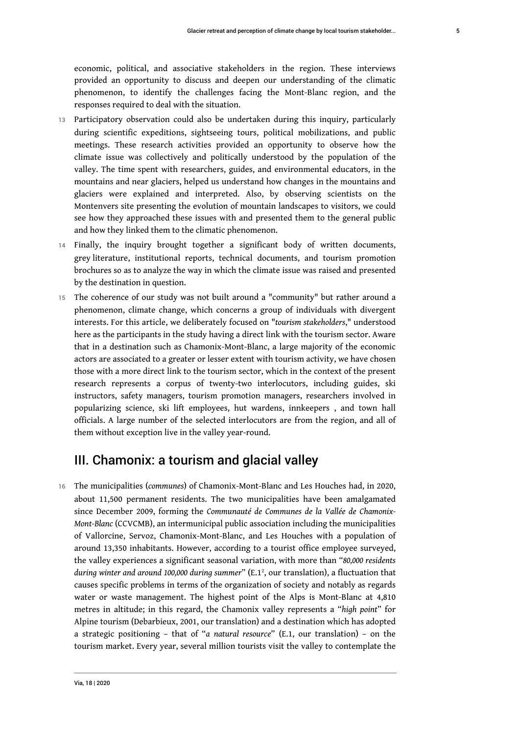economic, political, and associative stakeholders in the region. These interviews provided an opportunity to discuss and deepen our understanding of the climatic phenomenon, to identify the challenges facing the Mont-Blanc region, and the responses required to deal with the situation.

- 13 Participatory observation could also be undertaken during this inquiry, particularly during scientific expeditions, sightseeing tours, political mobilizations, and public meetings. These research activities provided an opportunity to observe how the climate issue was collectively and politically understood by the population of the valley. The time spent with researchers, guides, and environmental educators, in the mountains and near glaciers, helped us understand how changes in the mountains and glaciers were explained and interpreted. Also, by observing scientists on the Montenvers site presenting the evolution of mountain landscapes to visitors, we could see how they approached these issues with and presented them to the general public and how they linked them to the climatic phenomenon.
- 14 Finally, the inquiry brought together a significant body of written documents, grey literature, institutional reports, technical documents, and tourism promotion brochures so as to analyze the way in which the climate issue was raised and presented by the destination in question.
- 15 The coherence of our study was not built around a "community" but rather around a phenomenon, climate change, which concerns a group of individuals with divergent interests. For this article, we deliberately focused on "*tourism stakeholders*," understood here as the participants in the study having a direct link with the tourism sector. Aware that in a destination such as Chamonix-Mont-Blanc, a large majority of the economic actors are associated to a greater or lesser extent with tourism activity, we have chosen those with a more direct link to the tourism sector, which in the context of the present research represents a corpus of twenty-two interlocutors, including guides, ski instructors, safety managers, tourism promotion managers, researchers involved in popularizing science, ski lift employees, hut wardens, innkeepers , and town hall officials. A large number of the selected interlocutors are from the region, and all of them without exception live in the valley year-round.

# <span id="page-5-0"></span>III. Chamonix: a tourism and glacial valley

<sup>16</sup>The municipalities (*communes*) of Chamonix-Mont-Blanc and Les Houches had, in 2020, about 11,500 permanent residents. The two municipalities have been amalgamated since December 2009, forming the *Communauté de Communes de la Vallée de Chamonix-Mont-Blanc* (CCVCMB), an intermunicipal public association including the municipalities of Vallorcine, Servoz, Chamonix-Mont-Blanc, and Les Houches with a population of around 13,350 inhabitants. However, according to a tourist office employee surveyed, the valley experiences a significant seasonal variation, with more than "*80,000 residents during winter and around 100,000 during summer*" (E.1[2](#page-20-1) , our translation), a fluctuation that causes specific problems in terms of the organization of society and notably as regards water or waste management. The highest point of the Alps is Mont-Blanc at 4,810 metres in altitude; in this regard, the Chamonix valley represents a "*high point*" for Alpine tourism (Debarbieux, 2001, our translation) and a destination which has adopted a strategic positioning – that of "*a natural resource*" (E.1, our translation) – on the tourism market. Every year, several million tourists visit the valley to contemplate the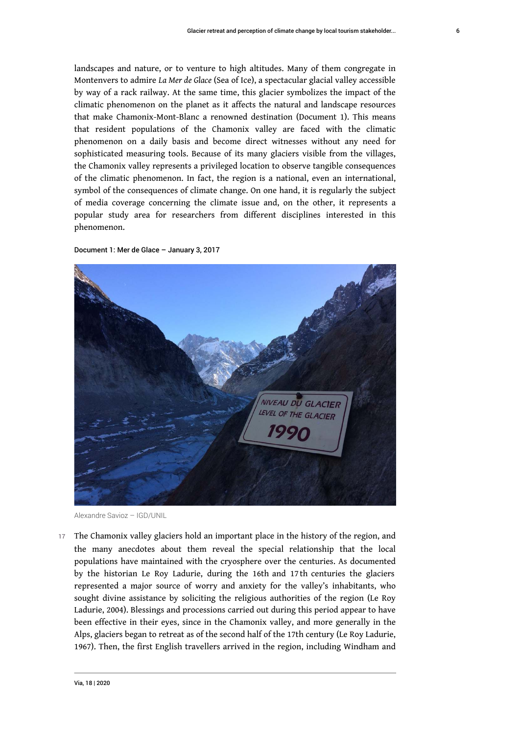landscapes and nature, or to venture to high altitudes. Many of them congregate in Montenvers to admire *La Mer de Glace* (Sea of Ice), a spectacular glacial valley accessible by way of a rack railway. At the same time, this glacier symbolizes the impact of the climatic phenomenon on the planet as it affects the natural and landscape resources that make Chamonix-Mont-Blanc a renowned destination (Document 1). This means that resident populations of the Chamonix valley are faced with the climatic phenomenon on a daily basis and become direct witnesses without any need for sophisticated measuring tools. Because of its many glaciers visible from the villages, the Chamonix valley represents a privileged location to observe tangible consequences of the climatic phenomenon. In fact, the region is a national, even an international, symbol of the consequences of climate change. On one hand, it is regularly the subject of media coverage concerning the climate issue and, on the other, it represents a popular study area for researchers from different disciplines interested in this phenomenon.





Alexandre Savioz – IGD/UNIL

17 The Chamonix valley glaciers hold an important place in the history of the region, and the many anecdotes about them reveal the special relationship that the local populations have maintained with the cryosphere over the centuries. As documented by the historian Le Roy Ladurie, during the 16th and 17 th centuries the glaciers represented a major source of worry and anxiety for the valley's inhabitants, who sought divine assistance by soliciting the religious authorities of the region (Le Roy Ladurie, 2004). Blessings and processions carried out during this period appear to have been effective in their eyes, since in the Chamonix valley, and more generally in the Alps, glaciers began to retreat as of the second half of the 17th century (Le Roy Ladurie, 1967). Then, the first English travellers arrived in the region, including Windham and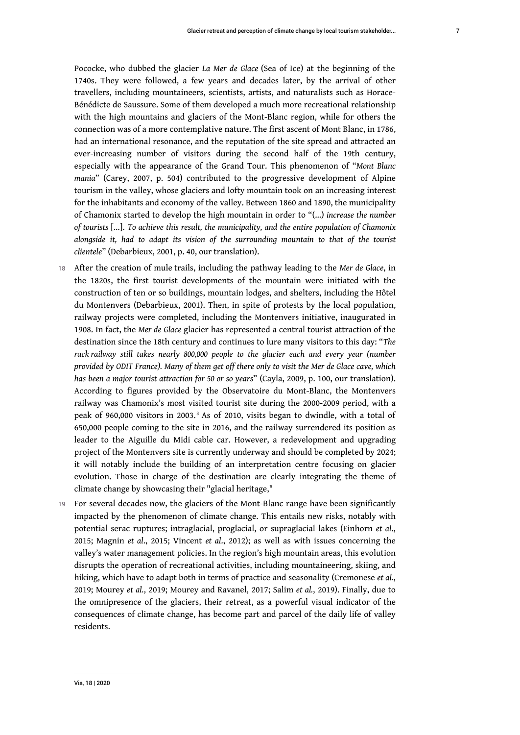Pococke, who dubbed the glacier *La Mer de Glace* (Sea of Ice) at the beginning of the 1740s. They were followed, a few years and decades later, by the arrival of other travellers, including mountaineers, scientists, artists, and naturalists such as Horace-Bénédicte de Saussure. Some of them developed a much more recreational relationship with the high mountains and glaciers of the Mont-Blanc region, while for others the connection was of a more contemplative nature. The first ascent of Mont Blanc, in 1786, had an international resonance, and the reputation of the site spread and attracted an ever-increasing number of visitors during the second half of the 19th century, especially with the appearance of the Grand Tour. This phenomenon of "*Mont Blanc mania*" (Carey, 2007, p. 504) contributed to the progressive development of Alpine tourism in the valley, whose glaciers and lofty mountain took on an increasing interest for the inhabitants and economy of the valley. Between 1860 and 1890, the municipality of Chamonix started to develop the high mountain in order to "(…) *increase the number of tourists* […]. *To achieve this result, the municipality, and the entire population of Chamonix alongside it, had to adapt its vision of the surrounding mountain to that of the tourist clientele*" (Debarbieux, 2001, p. 40, our translation).

- <sup>18</sup>After the creation of mule trails, including the pathway leading to the *Mer de Glace*, in the 1820s, the first tourist developments of the mountain were initiated with the construction of ten or so buildings, mountain lodges, and shelters, including the Hôtel du Montenvers (Debarbieux, 2001). Then, in spite of protests by the local population, railway projects were completed, including the Montenvers initiative, inaugurated in 1908. In fact, the *Mer de Glace* glacier has represented a central tourist attraction of the destination since the 18th century and continues to lure many visitors to this day: "*The rack railway still takes nearly 800,000 people to the glacier each and every year (number provided by ODIT France). Many of them get off there only to visit the Mer de Glace cave, which has been a major tourist attraction for 50 or so years*" (Cayla, 2009, p. 100, our translation). According to figures provided by the Observatoire du Mont-Blanc, the Montenvers railway was Chamonix's most visited tourist site during the 2000-2009 period, with a peak of 960,000 visitors in 200[3](#page-20-2).<sup>3</sup> As of 2010, visits began to dwindle, with a total of 650,000 people coming to the site in 2016, and the railway surrendered its position as leader to the Aiguille du Midi cable car. However, a redevelopment and upgrading project of the Montenvers site is currently underway and should be completed by 2024; it will notably include the building of an interpretation centre focusing on glacier evolution. Those in charge of the destination are clearly integrating the theme of climate change by showcasing their "glacial heritage,"
- <span id="page-7-0"></span>19 For several decades now, the glaciers of the Mont-Blanc range have been significantly impacted by the phenomenon of climate change. This entails new risks, notably with potential serac ruptures; intraglacial, proglacial, or supraglacial lakes (Einhorn *et al*., 2015; Magnin *et al*., 2015; Vincent *et al*., 2012); as well as with issues concerning the valley's water management policies. In the region's high mountain areas, this evolution disrupts the operation of recreational activities, including mountaineering, skiing, and hiking, which have to adapt both in terms of practice and seasonality (Cremonese *et al.*, 2019; Mourey *et al.*, 2019; Mourey and Ravanel, 2017; Salim *et al.*, 2019). Finally, due to the omnipresence of the glaciers, their retreat, as a powerful visual indicator of the consequences of climate change, has become part and parcel of the daily life of valley residents.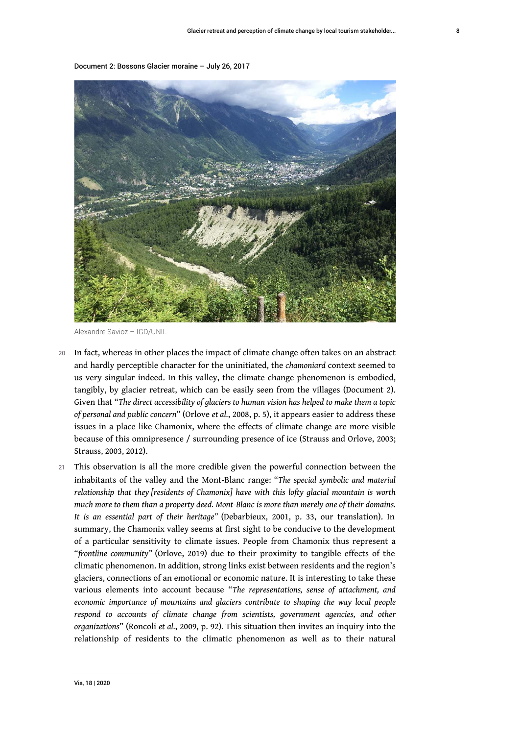Document 2: Bossons Glacier moraine – July 26, 2017



Alexandre Savioz – IGD/UNIL

- In fact, whereas in other places the impact of climate change often takes on an abstract and hardly perceptible character for the uninitiated, the *chamoniard* context seemed to us very singular indeed. In this valley, the climate change phenomenon is embodied, tangibly, by glacier retreat, which can be easily seen from the villages (Document 2). Given that "*The direct accessibility of glaciers to human vision has helped to make them a topic of personal and public concern*" (Orlove *et al.*, 2008, p. 5), it appears easier to address these issues in a place like Chamonix, where the effects of climate change are more visible because of this omnipresence / surrounding presence of ice (Strauss and Orlove, 2003; Strauss, 2003, 2012).
- 21 This observation is all the more credible given the powerful connection between the inhabitants of the valley and the Mont-Blanc range: "*The special symbolic and material relationship that they [residents of Chamonix] have with this lofty glacial mountain is worth much more to them than a property deed. Mont-Blanc is more than merely one of their domains. It is an essential part of their heritage"* (Debarbieux, 2001, p. 33, our translation). In summary, the Chamonix valley seems at first sight to be conducive to the development of a particular sensitivity to climate issues. People from Chamonix thus represent a "*frontline community"* (Orlove, 2019) due to their proximity to tangible effects of the climatic phenomenon. In addition, strong links exist between residents and the region's glaciers, connections of an emotional or economic nature. It is interesting to take these various elements into account because "*The representations, sense of attachment, and economic importance of mountains and glaciers contribute to shaping the way local people respond to accounts of climate change from scientists, government agencies, and other organizations*" (Roncoli *et al.*, 2009, p. 92)*.* This situation then invites an inquiry into the relationship of residents to the climatic phenomenon as well as to their natural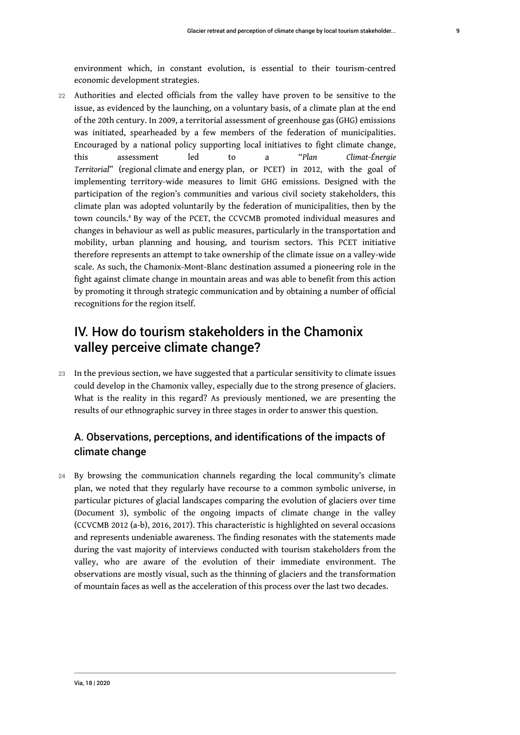environment which, in constant evolution, is essential to their tourism-centred economic development strategies.

22 Authorities and elected officials from the valley have proven to be sensitive to the issue, as evidenced by the launching, on a voluntary basis, of a climate plan at the end of the 20th century. In 2009, a territorial assessment of greenhouse gas (GHG) emissions was initiated, spearheaded by a few members of the federation of municipalities. Encouraged by a national policy supporting local initiatives to fight climate change, this assessment led to a "*Plan Climat-Énergie Territorial*" (regional climate and energy plan, or PCET) in 2012, with the goal of implementing territory-wide measures to limit GHG emissions. Designed with the participation of the region's communities and various civil society stakeholders, this climate plan was adopted voluntarily by the federation of municipalities, then by the town councils.[4](#page-20-3) By way of the PCET, the CCVCMB promoted individual measures and changes in behaviour as well as public measures, particularly in the transportation and mobility, urban planning and housing, and tourism sectors. This PCET initiative therefore represents an attempt to take ownership of the climate issue on a valley-wide scale. As such, the Chamonix-Mont-Blanc destination assumed a pioneering role in the fight against climate change in mountain areas and was able to benefit from this action by promoting it through strategic communication and by obtaining a number of official recognitions for the region itself.

# <span id="page-9-0"></span>IV. How do tourism stakeholders in the Chamonix valley perceive climate change?

23 In the previous section, we have suggested that a particular sensitivity to climate issues could develop in the Chamonix valley, especially due to the strong presence of glaciers. What is the reality in this regard? As previously mentioned, we are presenting the results of our ethnographic survey in three stages in order to answer this question.

### A. Observations, perceptions, and identifications of the impacts of climate change

24 By browsing the communication channels regarding the local community's climate plan, we noted that they regularly have recourse to a common symbolic universe, in particular pictures of glacial landscapes comparing the evolution of glaciers over time (Document 3), symbolic of the ongoing impacts of climate change in the valley (CCVCMB 2012 (a-b), 2016, 2017). This characteristic is highlighted on several occasions and represents undeniable awareness. The finding resonates with the statements made during the vast majority of interviews conducted with tourism stakeholders from the valley, who are aware of the evolution of their immediate environment. The observations are mostly visual, such as the thinning of glaciers and the transformation of mountain faces as well as the acceleration of this process over the last two decades.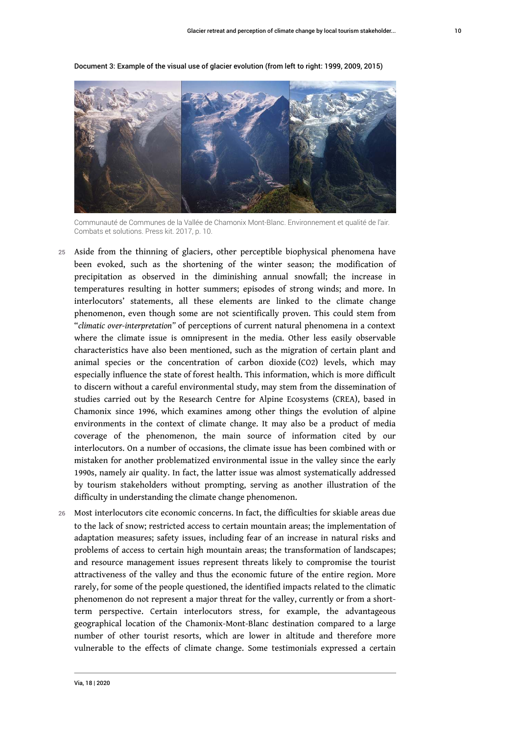

Document 3: Example of the visual use of glacier evolution (from left to right: 1999, 2009, 2015)

Communauté de Communes de la Vallée de Chamonix Mont-Blanc. Environnement et qualité de l'air. Combats et solutions. Press kit. 2017, p. 10.

- 25 Aside from the thinning of glaciers, other perceptible biophysical phenomena have been evoked, such as the shortening of the winter season; the modification of precipitation as observed in the diminishing annual snowfall; the increase in temperatures resulting in hotter summers; episodes of strong winds; and more. In interlocutors' statements, all these elements are linked to the climate change phenomenon, even though some are not scientifically proven. This could stem from "*climatic over-interpretation"* of perceptions of current natural phenomena in a context where the climate issue is omnipresent in the media. Other less easily observable characteristics have also been mentioned, such as the migration of certain plant and animal species or the concentration of carbon dioxide (CO2) levels, which may especially influence the state of forest health. This information, which is more difficult to discern without a careful environmental study, may stem from the dissemination of studies carried out by the Research Centre for Alpine Ecosystems (CREA), based in Chamonix since 1996, which examines among other things the evolution of alpine environments in the context of climate change. It may also be a product of media coverage of the phenomenon, the main source of information cited by our interlocutors. On a number of occasions, the climate issue has been combined with or mistaken for another problematized environmental issue in the valley since the early 1990s, namely air quality. In fact, the latter issue was almost systematically addressed by tourism stakeholders without prompting, serving as another illustration of the difficulty in understanding the climate change phenomenon.
- 26 Most interlocutors cite economic concerns. In fact, the difficulties for skiable areas due to the lack of snow; restricted access to certain mountain areas; the implementation of adaptation measures; safety issues, including fear of an increase in natural risks and problems of access to certain high mountain areas; the transformation of landscapes; and resource management issues represent threats likely to compromise the tourist attractiveness of the valley and thus the economic future of the entire region. More rarely, for some of the people questioned, the identified impacts related to the climatic phenomenon do not represent a major threat for the valley, currently or from a shortterm perspective. Certain interlocutors stress, for example, the advantageous geographical location of the Chamonix-Mont-Blanc destination compared to a large number of other tourist resorts, which are lower in altitude and therefore more vulnerable to the effects of climate change. Some testimonials expressed a certain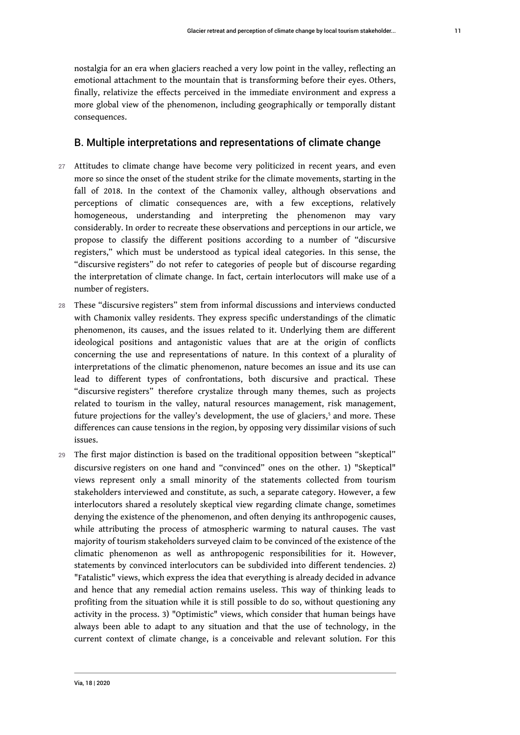nostalgia for an era when glaciers reached a very low point in the valley, reflecting an emotional attachment to the mountain that is transforming before their eyes. Others, finally, relativize the effects perceived in the immediate environment and express a more global view of the phenomenon, including geographically or temporally distant consequences.

#### B. Multiple interpretations and representations of climate change

- 27 Attitudes to climate change have become very politicized in recent years, and even more so since the onset of the student strike for the climate movements, starting in the fall of 2018. In the context of the Chamonix valley, although observations and perceptions of climatic consequences are, with a few exceptions, relatively homogeneous, understanding and interpreting the phenomenon may vary considerably. In order to recreate these observations and perceptions in our article, we propose to classify the different positions according to a number of "discursive registers," which must be understood as typical ideal categories. In this sense, the "discursive registers" do not refer to categories of people but of discourse regarding the interpretation of climate change. In fact, certain interlocutors will make use of a number of registers.
- 28 These "discursive registers" stem from informal discussions and interviews conducted with Chamonix valley residents. They express specific understandings of the climatic phenomenon, its causes, and the issues related to it. Underlying them are different ideological positions and antagonistic values that are at the origin of conflicts concerning the use and representations of nature. In this context of a plurality of interpretations of the climatic phenomenon, nature becomes an issue and its use can lead to different types of confrontations, both discursive and practical. These "discursive registers" therefore crystalize through many themes, such as projects related to tourism in the valley, natural resources management, risk management, future projections for the valley's development, the use of glaciers, $^{\rm 5}$  $^{\rm 5}$  $^{\rm 5}$  and more. These differences can cause tensions in the region, by opposing very dissimilar visions of such issues.
- <span id="page-11-0"></span>29 The first major distinction is based on the traditional opposition between "skeptical" discursive registers on one hand and "convinced" ones on the other. 1) "Skeptical" views represent only a small minority of the statements collected from tourism stakeholders interviewed and constitute, as such, a separate category. However, a few interlocutors shared a resolutely skeptical view regarding climate change, sometimes denying the existence of the phenomenon, and often denying its anthropogenic causes, while attributing the process of atmospheric warming to natural causes. The vast majority of tourism stakeholders surveyed claim to be convinced of the existence of the climatic phenomenon as well as anthropogenic responsibilities for it. However, statements by convinced interlocutors can be subdivided into different tendencies. 2) "Fatalistic" views, which express the idea that everything is already decided in advance and hence that any remedial action remains useless. This way of thinking leads to profiting from the situation while it is still possible to do so, without questioning any activity in the process. 3) "Optimistic" views, which consider that human beings have always been able to adapt to any situation and that the use of technology, in the current context of climate change, is a conceivable and relevant solution. For this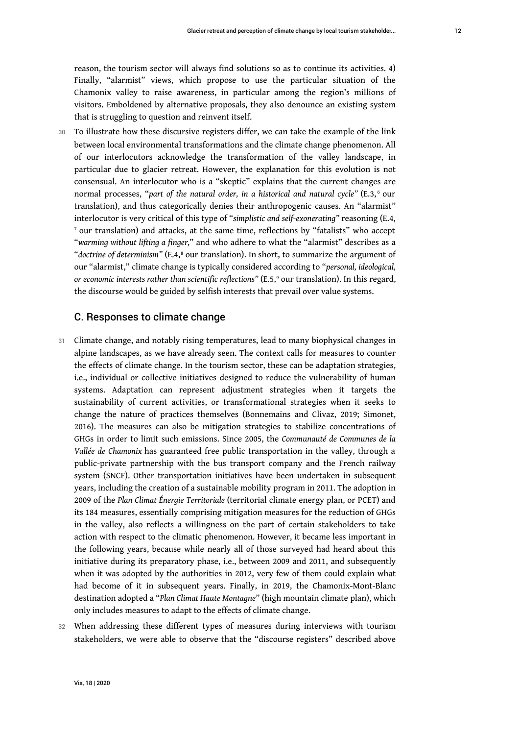reason, the tourism sector will always find solutions so as to continue its activities. 4) Finally, "alarmist" views, which propose to use the particular situation of the Chamonix valley to raise awareness, in particular among the region's millions of visitors. Emboldened by alternative proposals, they also denounce an existing system that is struggling to question and reinvent itself.

<span id="page-12-0"></span>30 To illustrate how these discursive registers differ, we can take the example of the link between local environmental transformations and the climate change phenomenon. All of our interlocutors acknowledge the transformation of the valley landscape, in particular due to glacier retreat. However, the explanation for this evolution is not consensual. An interlocutor who is a "skeptic" explains that the current changes are normal processes, "part of the natural order, in a historical and natural cycle" (E.3,<sup>[6](#page-20-5)</sup> our translation), and thus categorically denies their anthropogenic causes. An "alarmist" interlocutor is very critical of this type of "*simplistic and self-exonerating"* reasoning (E.4,  $^{\rm 7}$  $^{\rm 7}$  $^{\rm 7}$  our translation) and attacks, at the same time, reflections by "fatalists" who accept "*warming without lifting a finger,*" and who adhere to what the "alarmist" describes as a "doctrine of determinism" (E.4,<sup>[8](#page-20-7)</sup> our translation). In short, to summarize the argument of our "alarmist," climate change is typically considered according to "*personal, ideological,* or economic interests rather than scientific reflections" (E.5,° our translation). In this regard, the discourse would be guided by selfish interests that prevail over value systems.

#### <span id="page-12-3"></span><span id="page-12-2"></span><span id="page-12-1"></span>C. Responses to climate change

- 31 Climate change, and notably rising temperatures, lead to many biophysical changes in alpine landscapes, as we have already seen. The context calls for measures to counter the effects of climate change. In the tourism sector, these can be adaptation strategies, i.e., individual or collective initiatives designed to reduce the vulnerability of human systems. Adaptation can represent adjustment strategies when it targets the sustainability of current activities, or transformational strategies when it seeks to change the nature of practices themselves (Bonnemains and Clivaz, 2019; Simonet, 2016). The measures can also be mitigation strategies to stabilize concentrations of GHGs in order to limit such emissions. Since 2005, the *Communauté de Communes de la Vallée de Chamonix* has guaranteed free public transportation in the valley, through a public-private partnership with the bus transport company and the French railway system (SNCF). Other transportation initiatives have been undertaken in subsequent years, including the creation of a sustainable mobility program in 2011. The adoption in 2009 of the *Plan Climat Énergie Territoriale* (territorial climate energy plan, or PCET) and its 184 measures, essentially comprising mitigation measures for the reduction of GHGs in the valley, also reflects a willingness on the part of certain stakeholders to take action with respect to the climatic phenomenon. However, it became less important in the following years, because while nearly all of those surveyed had heard about this initiative during its preparatory phase, i.e., between 2009 and 2011, and subsequently when it was adopted by the authorities in 2012, very few of them could explain what had become of it in subsequent years. Finally, in 2019, the Chamonix-Mont-Blanc destination adopted a "*Plan Climat Haute Montagne*" (high mountain climate plan), which only includes measures to adapt to the effects of climate change.
- 32 When addressing these different types of measures during interviews with tourism stakeholders, we were able to observe that the "discourse registers" described above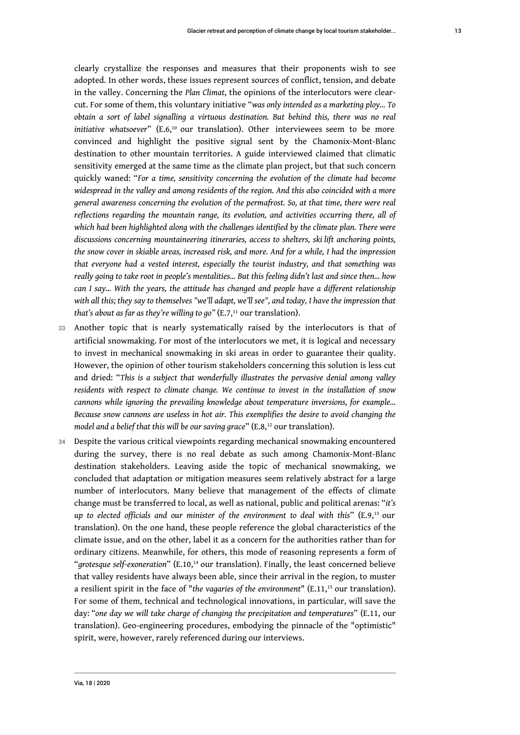<span id="page-13-0"></span>clearly crystallize the responses and measures that their proponents wish to see adopted. In other words, these issues represent sources of conflict, tension, and debate in the valley. Concerning the *Plan Climat*, the opinions of the interlocutors were clearcut. For some of them, this voluntary initiative "*was only intended as a marketing ploy… To obtain a sort of label signalling a virtuous destination. But behind this, there was no real initiative whatsoever*" (E.6,[10](#page-20-9) our translation). Other [interviewees](https://www.linguee.com/english-french/translation/interviewees.html) seem to be more convinced and highlight the positive signal sent by the Chamonix-Mont-Blanc destination to other mountain territories. A guide interviewed claimed that climatic sensitivity emerged at the same time as the climate plan project, but that such concern quickly waned: "*For a time, sensitivity concerning the evolution of the climate had become widespread in the valley and among residents of the region. And this also coincided with a more general awareness concerning the evolution of the permafrost. So, at that time, there were real reflections regarding the mountain range, its evolution, and activities occurring there, all of which had been highlighted along with the challenges identified by the climate plan. There were discussions concerning mountaineering itineraries, access to shelters, ski lift anchoring points, the snow cover in skiable areas, increased risk, and more. And for a while, I had the impression that everyone had a vested interest, especially the tourist industry, and that something was really going to take root in people's mentalities... But this feeling didn't last and since then... how can I say... With the years, the attitude has changed and people have a different relationship with all this; they say to themselves "we'll adapt, we'll see", and today, I have the impression that that's about as far as they're willing to go*" (E.7,<sup>[11](#page-20-10)</sup> our translation).

- <span id="page-13-1"></span>33 Another topic that is nearly systematically raised by the interlocutors is that of artificial snowmaking. For most of the interlocutors we met, it is logical and necessary to invest in mechanical snowmaking in ski areas in order to guarantee their quality. However, the opinion of other tourism stakeholders concerning this solution is less cut and dried: "*This is a subject that wonderfully illustrates the pervasive denial among valley residents with respect to climate change. We continue to invest in the installation of snow cannons while ignoring the prevailing knowledge about temperature inversions, for example… Because snow cannons are useless in hot air. This exemplifies the desire to avoid changing the model and a belief that this will be our saving grace*" (E.8,<sup>[12](#page-20-11)</sup> our translation).
- <span id="page-13-5"></span><span id="page-13-4"></span><span id="page-13-3"></span><span id="page-13-2"></span>34 Despite the various critical viewpoints regarding mechanical snowmaking encountered during the survey, there is no real debate as such among Chamonix-Mont-Blanc destination stakeholders. Leaving aside the topic of mechanical snowmaking, we concluded that adaptation or mitigation measures seem relatively abstract for a large number of interlocutors. Many believe that management of the effects of climate change must be transferred to local, as well as national, public and political arenas: "*it's up to elected officials and our minister of the environment to deal with this*" (E.9,[13](#page-20-12) our translation). On the one hand, these people reference the global characteristics of the climate issue, and on the other, label it as a concern for the authorities rather than for ordinary citizens. Meanwhile, for others, this mode of reasoning represents a form of "*grotesque self-exoneration*" (E.10,<sup>[14](#page-20-13)</sup> our translation). Finally, the least concerned believe that valley residents have always been able, since their arrival in the region, to muster a resilient spirit in the face of "the vagaries of the environment" (E.11,<sup>[15](#page-20-14)</sup> our translation). For some of them, technical and technological innovations, in particular, will save the day: "*one day we will take charge of changing the precipitation and temperatures*" (E.11, our translation). Geo-engineering procedures, embodying the pinnacle of the "optimistic" spirit, were, however, rarely referenced during our interviews.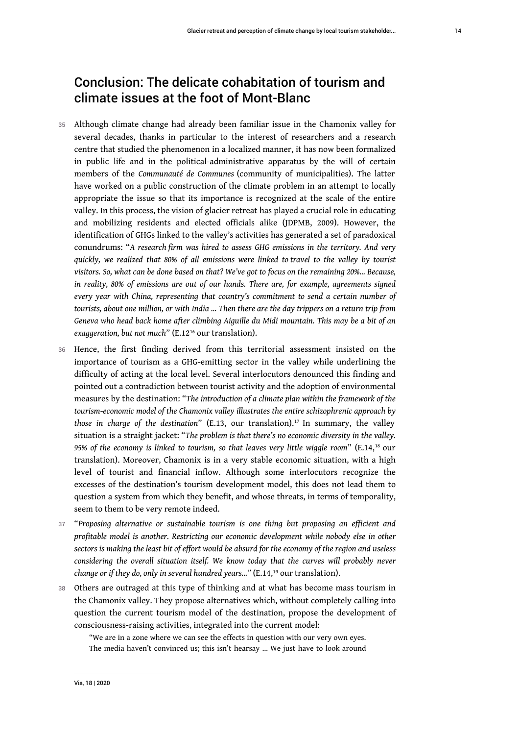# Conclusion: The delicate cohabitation of tourism and climate issues at the foot of Mont-Blanc

- 35 Although climate change had already been familiar issue in the Chamonix valley for several decades, thanks in particular to the interest of researchers and a research centre that studied the phenomenon in a localized manner, it has now been formalized in public life and in the political-administrative apparatus by the will of certain members of the *Communauté de Communes* (community of municipalities). The latter have worked on a public construction of the climate problem in an attempt to locally appropriate the issue so that its importance is recognized at the scale of the entire valley. In this process, the vision of glacier retreat has played a crucial role in educating and mobilizing residents and elected officials alike (JDPMB, 2009). However, the identification of GHGs linked to the valley's activities has generated a set of paradoxical conundrums: "*A research firm was hired to assess GHG emissions in the territory. And very quickly, we realized that 80% of all emissions were linked to travel to the valley by tourist visitors. So, what can be done based on that? We've got to focus on the remaining 20%… Because, in reality, 80% of emissions are out of our hands. There are, for example, agreements signed every year with China, representing that country's commitment to send a certain number of tourists, about one million, or with India … Then there are the day trippers on a return trip from Geneva who head back home after climbing Aiguille du Midi mountain. This may be a bit of an exaggeration, but not much*" (E.12[16](#page-20-15) our translation).
- <span id="page-14-1"></span><span id="page-14-0"></span>36 Hence, the first finding derived from this territorial assessment insisted on the importance of tourism as a GHG-emitting sector in the valley while underlining the difficulty of acting at the local level. Several interlocutors denounced this finding and pointed out a contradiction between tourist activity and the adoption of environmental measures by the destination: "*The introduction of a climate plan within the framework of the tourism-economic model of the Chamonix valley illustrates the entire schizophrenic approach by those in charge of the destination*" (E.13, our translation).[17](#page-20-16) In summary, the valley situation is a straight jacket: "*The problem is that there's no economic diversity in the valley. 95% of the economy is linked to tourism, so that leaves very little wiggle room*" (E.14,[18](#page-20-17) our translation). Moreover, Chamonix is in a very stable economic situation, with a high level of tourist and financial inflow. Although some interlocutors recognize the excesses of the destination's tourism development model, this does not lead them to question a system from which they benefit, and whose threats, in terms of temporality, seem to them to be very remote indeed.
- <span id="page-14-2"></span><sup>37</sup>"*Proposing alternative or sustainable tourism is one thing but proposing an efficient and profitable model is another. Restricting our economic development while nobody else in other sectors is making the least bit of effort would be absurd for the economy of the region and useless considering the overall situation itself. We know today that the curves will probably never change or if they do, only in several hundred years...*" (E.14,<sup>[19](#page-20-18)</sup> our translation).
- 38 Others are outraged at this type of thinking and at what has become mass tourism in the Chamonix valley. They propose alternatives which, without completely calling into question the current tourism model of the destination, propose the development of consciousness-raising activities, integrated into the current model:

<span id="page-14-3"></span>"We are in a zone where we can see the effects in question with our very own eyes. The media haven't convinced us; this isn't hearsay … We just have to look around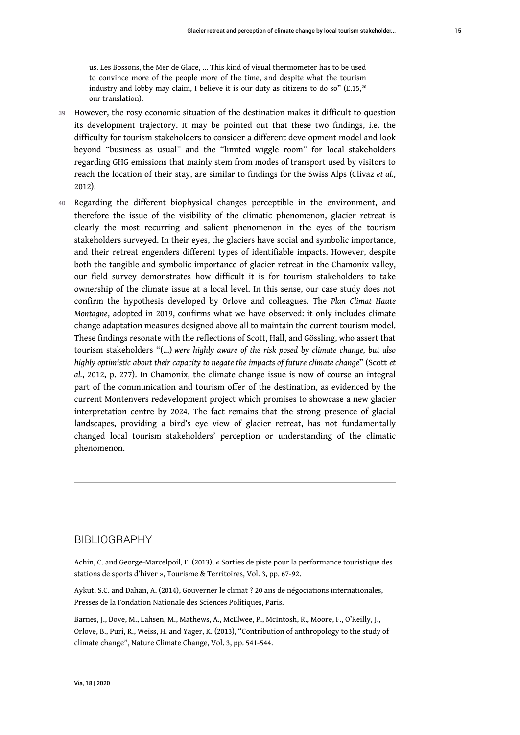<span id="page-15-0"></span>us. Les Bossons, the Mer de Glace, … This kind of visual thermometer has to be used to convince more of the people more of the time, and despite what the tourism industry and lobby may claim, I believe it is our duty as citizens to do so" (E.15,<sup>[20](#page-20-19)</sup> our translation).

- 39 However, the rosy economic situation of the destination makes it difficult to question its development trajectory. It may be pointed out that these two findings, i.e. the difficulty for tourism stakeholders to consider a different development model and look beyond "business as usual" and the "limited wiggle room" for local stakeholders regarding GHG emissions that mainly stem from modes of transport used by visitors to reach the location of their stay, are similar to findings for the Swiss Alps (Clivaz *et al.*, 2012).
- 40 Regarding the different biophysical changes perceptible in the environment, and therefore the issue of the visibility of the climatic phenomenon, glacier retreat is clearly the most recurring and salient phenomenon in the eyes of the tourism stakeholders surveyed. In their eyes, the glaciers have social and symbolic importance, and their retreat engenders different types of identifiable impacts. However, despite both the tangible and symbolic importance of glacier retreat in the Chamonix valley, our field survey demonstrates how difficult it is for tourism stakeholders to take ownership of the climate issue at a local level. In this sense, our case study does not confirm the hypothesis developed by Orlove and colleagues. The *Plan Climat Haute Montagne*, adopted in 2019, confirms what we have observed: it only includes climate change adaptation measures designed above all to maintain the current tourism model. These findings resonate with the reflections of Scott, Hall, and Gössling, who assert that tourism stakeholders "(…) *were highly aware of the risk posed by climate change, but also highly optimistic about their capacity to negate the impacts of future climate change*" (Scott *et al.*, 2012, p. 277). In Chamonix, the climate change issue is now of course an integral part of the communication and tourism offer of the destination, as evidenced by the current Montenvers redevelopment project which promises to showcase a new glacier interpretation centre by 2024. The fact remains that the strong presence of glacial landscapes, providing a bird's eye view of glacier retreat, has not fundamentally changed local tourism stakeholders' perception or understanding of the climatic phenomenon.

#### BIBLIOGRAPHY

Achin, C. and George-Marcelpoil, E. (2013), « Sorties de piste pour la performance touristique des stations de sports d'hiver », Tourisme & Territoires, Vol. 3, pp. 67-92.

Aykut, S.C. and Dahan, A. (2014), Gouverner le climat ? 20 ans de négociations internationales, Presses de la Fondation Nationale des Sciences Politiques, Paris.

Barnes, J., Dove, M., Lahsen, M., Mathews, A., McElwee, P., McIntosh, R., Moore, F., O'Reilly, J., Orlove, B., Puri, R., Weiss, H. and Yager, K. (2013), "Contribution of anthropology to the study of climate change", Nature Climate Change, Vol. 3, pp. 541-544.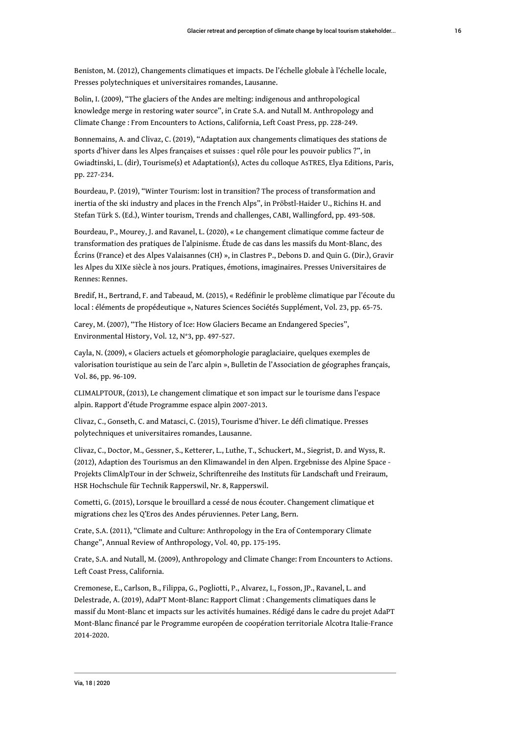Beniston, M. (2012), Changements climatiques et impacts. De l'échelle globale à l'échelle locale, Presses polytechniques et universitaires romandes, Lausanne.

Bolin, I. (2009), "The glaciers of the Andes are melting: indigenous and anthropological knowledge merge in restoring water source", in Crate S.A. and Nutall M. Anthropology and Climate Change : From Encounters to Actions, California, Left Coast Press, pp. 228-249.

Bonnemains, A. and Clivaz, C. (2019), "Adaptation aux changements climatiques des stations de sports d'hiver dans les Alpes françaises et suisses : quel rôle pour les pouvoir publics ?", in Gwiadtinski, L. (dir), Tourisme(s) et Adaptation(s), Actes du colloque AsTRES, Elya Editions, Paris, pp. 227-234.

Bourdeau, P. (2019), "Winter Tourism: lost in transition? The process of transformation and inertia of the ski industry and places in the French Alps", in Pröbstl-Haider U., Richins H. and Stefan Türk S. (Ed.), Winter tourism, Trends and challenges, CABI, Wallingford, pp. 493-508.

Bourdeau, P., Mourey, J. and Ravanel, L. (2020), « Le changement climatique comme facteur de transformation des pratiques de l'alpinisme. Étude de cas dans les massifs du Mont-Blanc, des Écrins (France) et des Alpes Valaisannes (CH) », in Clastres P., Debons D. and Quin G. (Dir.), Gravir les Alpes du XIXe siècle à nos jours. Pratiques, émotions, imaginaires. Presses Universitaires de Rennes: Rennes.

Bredif, H., Bertrand, F. and Tabeaud, M. (2015), « Redéfinir le problème climatique par l'écoute du local : éléments de propédeutique », Natures Sciences Sociétés Supplément, Vol. 23, pp. 65-75.

Carey, M. (2007), "The History of Ice: How Glaciers Became an Endangered Species", Environmental History, Vol. 12, N°3, pp. 497-527.

Cayla, N. (2009), « Glaciers actuels et géomorphologie paraglaciaire, quelques exemples de valorisation touristique au sein de l'arc alpin », Bulletin de l'Association de géographes français, Vol. 86, pp. 96-109.

CLIMALPTOUR, (2013), Le changement climatique et son impact sur le tourisme dans l'espace alpin. Rapport d'étude Programme espace alpin 2007-2013.

Clivaz, C., Gonseth, C. and Matasci, C. (2015), Tourisme d'hiver. Le défi climatique. Presses polytechniques et universitaires romandes, Lausanne.

Clivaz, C., Doctor, M., Gessner, S., Ketterer, L., Luthe, T., Schuckert, M., Siegrist, D. and Wyss, R. (2012), Adaption des Tourismus an den Klimawandel in den Alpen. Ergebnisse des Alpine Space - Projekts ClimAlpTour in der Schweiz, Schriftenreihe des Instituts für Landschaft und Freiraum, HSR Hochschule für Technik Rapperswil, Nr. 8, Rapperswil.

Cometti, G. (2015), Lorsque le brouillard a cessé de nous écouter. Changement climatique et migrations chez les Q'Eros des Andes péruviennes. Peter Lang, Bern.

Crate, S.A. (2011), "Climate and Culture: Anthropology in the Era of Contemporary Climate Change", Annual Review of Anthropology, Vol. 40, pp. 175-195.

Crate, S.A. and Nutall, M. (2009), Anthropology and Climate Change: From Encounters to Actions. Left Coast Press, California.

Cremonese, E., Carlson, B., Filippa, G., Pogliotti, P., Alvarez, I., Fosson, JP., Ravanel, L. and Delestrade, A. (2019), AdaPT Mont-Blanc: Rapport Climat : Changements climatiques dans le massif du Mont-Blanc et impacts sur les activités humaines. Rédigé dans le cadre du projet AdaPT Mont-Blanc financé par le Programme européen de coopération territoriale Alcotra Italie-France 2014-2020.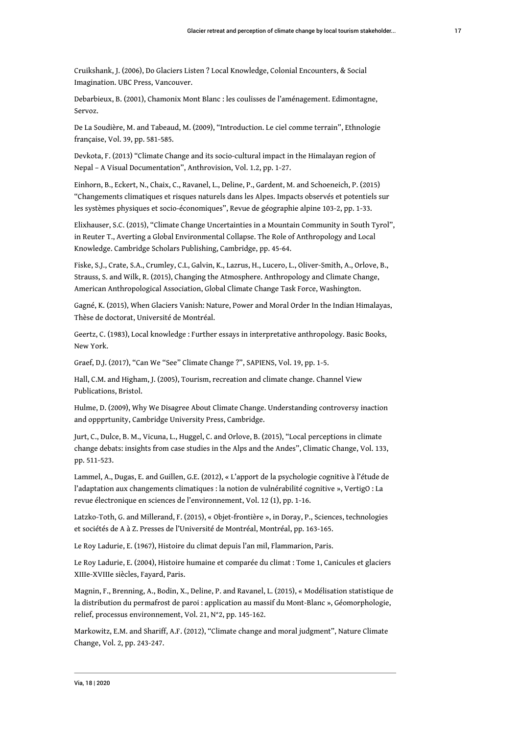Cruikshank, J. (2006), Do Glaciers Listen ? Local Knowledge, Colonial Encounters, & Social Imagination. UBC Press, Vancouver.

Debarbieux, B. (2001), Chamonix Mont Blanc : les coulisses de l'aménagement. Edimontagne, Servoz.

De La Soudière, M. and Tabeaud, M. (2009), "Introduction. Le ciel comme terrain", Ethnologie française, Vol. 39, pp. 581-585.

Devkota, F. (2013) "Climate Change and its socio-cultural impact in the Himalayan region of Nepal – A Visual Documentation", Anthrovision, Vol. 1.2, pp. 1-27.

Einhorn, B., Eckert, N., Chaix, C., Ravanel, L., Deline, P., Gardent, M. and Schoeneich, P. (2015) "Changements climatiques et risques naturels dans les Alpes. Impacts observés et potentiels sur les systèmes physiques et socio-économiques", Revue de géographie alpine 103-2, pp. 1-33.

Elixhauser, S.C. (2015), "Climate Change Uncertainties in a Mountain Community in South Tyrol", in Reuter T., Averting a Global Environmental Collapse. The Role of Anthropology and Local Knowledge. Cambridge Scholars Publishing, Cambridge, pp. 45-64.

Fiske, S.J., Crate, S.A., Crumley, C.L, Galvin, K., Lazrus, H., Lucero, L., Oliver-Smith, A., Orlove, B., Strauss, S. and Wilk, R. (2015), Changing the Atmosphere. Anthropology and Climate Change, American Anthropological Association, Global Climate Change Task Force, Washington.

Gagné, K. (2015), When Glaciers Vanish: Nature, Power and Moral Order In the Indian Himalayas, Thèse de doctorat, Université de Montréal.

Geertz, C. (1983), Local knowledge : Further essays in interpretative anthropology. Basic Books, New York.

Graef, D.J. (2017), "Can We "See" Climate Change ?", SAPIENS, Vol. 19, pp. 1-5.

Hall, C.M. and Higham, J. (2005), Tourism, recreation and climate change. Channel View Publications, Bristol.

Hulme, D. (2009), Why We Disagree About Climate Change. Understanding controversy inaction and oppprtunity, Cambridge University Press, Cambridge.

Jurt, C., Dulce, B. M., Vicuna, L., Huggel, C. and Orlove, B. (2015), "Local perceptions in climate change debats: insights from case studies in the Alps and the Andes", Climatic Change, Vol. 133, pp. 511-523.

Lammel, A., Dugas, E. and Guillen, G.E. (2012), « L'apport de la psychologie cognitive à l'étude de l'adaptation aux changements climatiques : la notion de vulnérabilité cognitive », VertigO : La revue électronique en sciences de l'environnement, Vol. 12 (1), pp. 1-16.

Latzko-Toth, G. and Millerand, F. (2015), « Objet-frontière », in Doray, P., Sciences, technologies et sociétés de A à Z. Presses de l'Université de Montréal, Montréal, pp. 163-165.

Le Roy Ladurie, E. (1967), Histoire du climat depuis l'an mil, Flammarion, Paris.

Le Roy Ladurie, E. (2004), Histoire humaine et comparée du climat : Tome 1, Canicules et glaciers XIIIe-XVIIIe siècles, Fayard, Paris.

Magnin, F., Brenning, A., Bodin, X., Deline, P. and Ravanel, L. (2015), « Modélisation statistique de la distribution du permafrost de paroi : application au massif du Mont-Blanc », Géomorphologie, relief, processus environnement, Vol. 21, N°2, pp. 145-162.

Markowitz, E.M. and Shariff, A.F. (2012), "Climate change and moral judgment", Nature Climate Change, Vol. 2, pp. 243-247.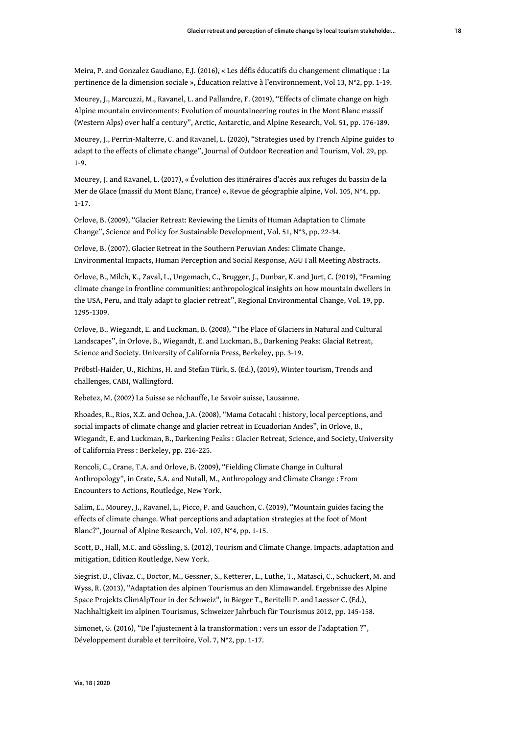Meira, P. and Gonzalez Gaudiano, E.J. (2016), « Les défis éducatifs du changement climatique : La pertinence de la dimension sociale », Éducation relative à l'environnement, Vol 13, N°2, pp. 1-19.

Mourey, J., Marcuzzi, M., Ravanel, L. and Pallandre, F. (2019), "Effects of climate change on high Alpine mountain environments: Evolution of mountaineering routes in the Mont Blanc massif (Western Alps) over half a century", Arctic, Antarctic, and Alpine Research, Vol. 51, pp. 176-189.

Mourey, J., Perrin-Malterre, C. and Ravanel, L. (2020), "Strategies used by French Alpine guides to adapt to the effects of climate change", Journal of Outdoor Recreation and Tourism, Vol. 29, pp. 1-9.

Mourey, J. and Ravanel, L. (2017), « Évolution des itinéraires d'accès aux refuges du bassin de la Mer de Glace (massif du Mont Blanc, France) », Revue de géographie alpine, Vol. 105, N°4, pp. 1-17.

Orlove, B. (2009), "Glacier Retreat: Reviewing the Limits of Human Adaptation to Climate Change", Science and Policy for Sustainable Development, Vol. 51, N°3, pp. 22-34.

Orlove, B. (2007), Glacier Retreat in the Southern Peruvian Andes: Climate Change, Environmental Impacts, Human Perception and Social Response, AGU Fall Meeting Abstracts.

Orlove, B., Milch, K., Zaval, L., Ungemach, C., Brugger, J., Dunbar, K. and Jurt, C. (2019), "Framing climate change in frontline communities: anthropological insights on how mountain dwellers in the USA, Peru, and Italy adapt to glacier retreat", Regional Environmental Change, Vol. 19, pp. 1295-1309.

Orlove, B., Wiegandt, E. and Luckman, B. (2008), "The Place of Glaciers in Natural and Cultural Landscapes", in Orlove, B., Wiegandt, E. and Luckman, B., Darkening Peaks: Glacial Retreat, Science and Society. University of California Press, Berkeley, pp. 3-19.

Pröbstl-Haider, U., Richins, H. and Stefan Türk, S. (Ed.), (2019), Winter tourism, Trends and challenges, CABI, Wallingford.

Rebetez, M. (2002) La Suisse se réchauffe, Le Savoir suisse, Lausanne.

Rhoades, R., Rios, X.Z. and Ochoa, J.A. (2008), "Mama Cotacahi : history, local perceptions, and social impacts of climate change and glacier retreat in Ecuadorian Andes", in Orlove, B., Wiegandt, E. and Luckman, B., Darkening Peaks : Glacier Retreat, Science, and Society, University of California Press : Berkeley, pp. 216-225.

Roncoli, C., Crane, T.A. and Orlove, B. (2009), "Fielding Climate Change in Cultural Anthropology", in Crate, S.A. and Nutall, M., Anthropology and Climate Change : From Encounters to Actions, Routledge, New York.

Salim, E., Mourey, J., Ravanel, L., Picco, P. and Gauchon, C. (2019), "Mountain guides facing the effects of climate change. What perceptions and adaptation strategies at the foot of Mont Blanc?", Journal of Alpine Research, Vol. 107, N°4, pp. 1-15.

Scott, D., Hall, M.C. and Gössling, S. (2012), Tourism and Climate Change. Impacts, adaptation and mitigation, Edition Routledge, New York.

Siegrist, D., Clivaz, C., Doctor, M., Gessner, S., Ketterer, L., Luthe, T., Matasci, C., Schuckert, M. and Wyss, R. (2013), "Adaptation des alpinen Tourismus an den Klimawandel. Ergebnisse des Alpine Space Projekts ClimAlpTour in der Schweiz", in Bieger T., Beritelli P. and Laesser C. (Ed.), Nachhaltigkeit im alpinen Tourismus, Schweizer Jahrbuch für Tourismus 2012, pp. 145-158.

Simonet, G. (2016), "De l'ajustement à la transformation : vers un essor de l'adaptation ?", Développement durable et territoire, Vol. 7, N°2, pp. 1-17.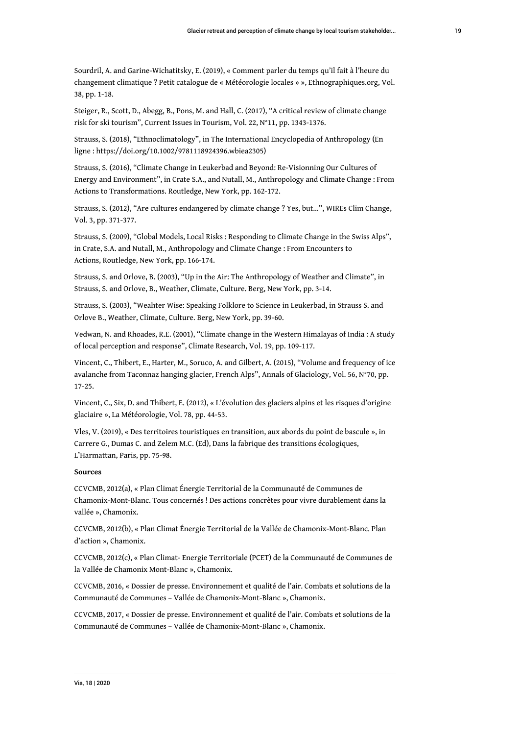Sourdril, A. and Garine-Wichatitsky, E. (2019), « Comment parler du temps qu'il fait à l'heure du changement climatique ? Petit catalogue de « Météorologie locales » », Ethnographiques.org, Vol. 38, pp. 1-18.

Steiger, R., Scott, D., Abegg, B., Pons, M. and Hall, C. (2017), "A critical review of climate change risk for ski tourism", Current Issues in Tourism, Vol. 22, N°11, pp. 1343-1376.

Strauss, S. (2018), "Ethnoclimatology", in The International Encyclopedia of Anthropology (En ligne : [https://doi.org/10.1002/9781118924396.wbiea2305\)](https://doi.org/10.1002/9781118924396.wbiea2305)

Strauss, S. (2016), "Climate Change in Leukerbad and Beyond: Re-Visionning Our Cultures of Energy and Environment", in Crate S.A., and Nutall, M., Anthropology and Climate Change : From Actions to Transformations. Routledge, New York, pp. 162-172.

Strauss, S. (2012), "Are cultures endangered by climate change ? Yes, but…", WIREs Clim Change, Vol. 3, pp. 371-377.

Strauss, S. (2009), "Global Models, Local Risks : Responding to Climate Change in the Swiss Alps", in Crate, S.A. and Nutall, M., Anthropology and Climate Change : From Encounters to Actions, Routledge, New York, pp. 166-174.

Strauss, S. and Orlove, B. (2003), "Up in the Air: The Anthropology of Weather and Climate", in Strauss, S. and Orlove, B., Weather, Climate, Culture. Berg, New York, pp. 3-14.

Strauss, S. (2003), "Weahter Wise: Speaking Folklore to Science in Leukerbad, in Strauss S. and Orlove B., Weather, Climate, Culture. Berg, New York, pp. 39-60.

Vedwan, N. and Rhoades, R.E. (2001), "Climate change in the Western Himalayas of India : A study of local perception and response", Climate Research, Vol. 19, pp. 109-117.

Vincent, C., Thibert, E., Harter, M., Soruco, A. and Gilbert, A. (2015), "Volume and frequency of ice avalanche from Taconnaz hanging glacier, French Alps", Annals of Glaciology, Vol. 56, N°70, pp. 17-25.

Vincent, C., Six, D. and Thibert, E. (2012), « L'évolution des glaciers alpins et les risques d'origine glaciaire », La Météorologie, Vol. 78, pp. 44-53.

Vles, V. (2019), « Des territoires touristiques en transition, aux abords du point de bascule », in Carrere G., Dumas C. and Zelem M.C. (Ed), Dans la fabrique des transitions écologiques, L'Harmattan, Paris, pp. 75-98.

#### **Sources**

CCVCMB, 2012(a), « Plan Climat Énergie Territorial de la Communauté de Communes de Chamonix-Mont-Blanc. Tous concernés ! Des actions concrètes pour vivre durablement dans la vallée », Chamonix.

CCVCMB, 2012(b), « Plan Climat Énergie Territorial de la Vallée de Chamonix-Mont-Blanc. Plan d'action », Chamonix.

CCVCMB, 2012(c), « Plan Climat- Energie Territoriale (PCET) de la Communauté de Communes de la Vallée de Chamonix Mont-Blanc », Chamonix.

CCVCMB, 2016, « Dossier de presse. Environnement et qualité de l'air. Combats et solutions de la Communauté de Communes – Vallée de Chamonix-Mont-Blanc », Chamonix.

CCVCMB, 2017, « Dossier de presse. Environnement et qualité de l'air. Combats et solutions de la Communauté de Communes – Vallée de Chamonix-Mont-Blanc », Chamonix.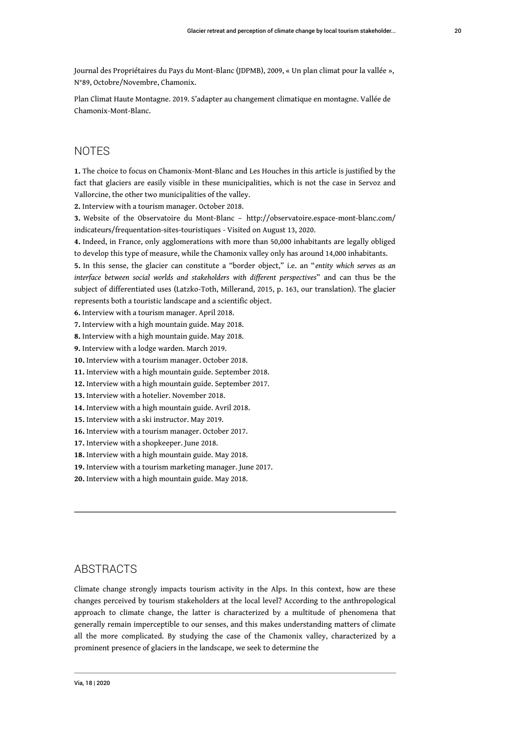Journal des Propriétaires du Pays du Mont-Blanc (JDPMB), 2009, « Un plan climat pour la vallée », N°89, Octobre/Novembre, Chamonix.

Plan Climat Haute Montagne. 2019. S'adapter au changement climatique en montagne. Vallée de Chamonix-Mont-Blanc.

#### **NOTES**

<span id="page-20-0"></span>**[1.](#page-1-0)** The choice to focus on Chamonix-Mont-Blanc and Les Houches in this article is justified by the fact that glaciers are easily visible in these municipalities, which is not the case in Servoz and Vallorcine, the other two municipalities of the valley.

<span id="page-20-1"></span>**[2.](#page-5-0)** Interview with a tourism manager. October 2018.

<span id="page-20-2"></span>**[3.](#page-7-0)** Website of the Observatoire du Mont-Blanc – [http://observatoire.espace-mont-blanc.com/](http://observatoire.espace-mont-blanc.com/indicateurs/frequentation-sites-touristiques) [indicateurs/frequentation-sites-touristiques](http://observatoire.espace-mont-blanc.com/indicateurs/frequentation-sites-touristiques) - Visited on August 13, 2020.

<span id="page-20-3"></span>**[4.](#page-9-0)** Indeed, in France, only agglomerations with more than 50,000 inhabitants are legally obliged to develop this type of measure, while the Chamonix valley only has around 14,000 inhabitants.

<span id="page-20-4"></span>**[5.](#page-11-0)** In this sense, the glacier can constitute a "border object," i.e. an "*entity which serves as an interface between social worlds and stakeholders with different perspectives*" and can thus be the subject of differentiated uses (Latzko-Toth, Millerand, 2015, p. 163, our translation). The glacier represents both a touristic landscape and a scientific object.

<span id="page-20-5"></span>**[6.](#page-12-0)** Interview with a tourism manager. April 2018.

<span id="page-20-6"></span>**[7.](#page-12-1)** Interview with a high mountain guide. May 2018.

<span id="page-20-7"></span>**[8.](#page-12-2)** Interview with a high mountain guide. May 2018.

<span id="page-20-8"></span>**[9.](#page-12-3)** Interview with a lodge warden. March 2019.

<span id="page-20-9"></span>**[10.](#page-13-0)** Interview with a tourism manager. October 2018.

<span id="page-20-10"></span>**[11.](#page-13-1)** Interview with a high mountain guide. September 2018.

<span id="page-20-11"></span>**[12.](#page-13-2)** Interview with a high mountain guide. September 2017.

<span id="page-20-12"></span>**[13.](#page-13-3)** Interview with a [hotelier](https://www.linguee.com/english-french/translation/hotelier.html). November 2018.

<span id="page-20-13"></span>**[14.](#page-13-4)** Interview with a high mountain guide. Avril 2018.

<span id="page-20-14"></span>**[15.](#page-13-5)** Interview with a ski instructor. May 2019.

<span id="page-20-15"></span>**[16.](#page-14-0)** Interview with a tourism manager. October 2017.

<span id="page-20-16"></span>**[17.](#page-14-1)** Interview with a shopkeeper. June 2018.

<span id="page-20-17"></span>**[18.](#page-14-2)** Interview with a high mountain guide. May 2018.

<span id="page-20-18"></span>**[19.](#page-14-3)** Interview with a tourism marketing manager. June 2017.

<span id="page-20-19"></span>**[20.](#page-15-0)** Interview with a high mountain guide. May 2018.

#### ABSTRACTS

Climate change strongly impacts tourism activity in the Alps. In this context, how are these changes perceived by tourism stakeholders at the local level? According to the anthropological approach to climate change, the latter is characterized by a multitude of phenomena that generally remain imperceptible to our senses, and this makes understanding matters of climate all the more complicated. By studying the case of the Chamonix valley, characterized by a prominent presence of glaciers in the landscape, we seek to determine the